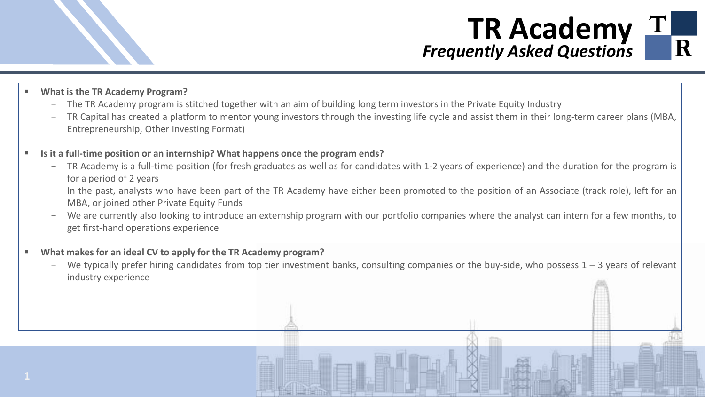

## **TR Academy** *Frequently Asked Questions*

- **What is the TR Academy Program?**
	- The TR Academy program is stitched together with an aim of building long term investors in the Private Equity Industry
	- TR Capital has created a platform to mentor young investors through the investing life cycle and assist them in their long-term career plans (MBA, Entrepreneurship, Other Investing Format)
- **Is it a full-time position or an internship? What happens once the program ends?**
	- TR Academy is a full-time position (for fresh graduates as well as for candidates with 1-2 years of experience) and the duration for the program is for a period of 2 years
	- In the past, analysts who have been part of the TR Academy have either been promoted to the position of an Associate (track role), left for an MBA, or joined other Private Equity Funds
	- We are currently also looking to introduce an externship program with our portfolio companies where the analyst can intern for a few months, to get first-hand operations experience
- **What makes for an ideal CV to apply for the TR Academy program?**
	- We typically prefer hiring candidates from top tier investment banks, consulting companies or the buy-side, who possess  $1 3$  years of relevant industry experience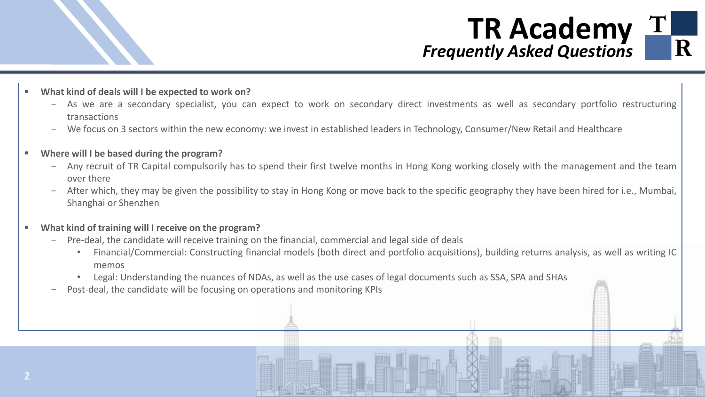

## **TR Academy** *Frequently Asked Questions*

- **What kind of deals will I be expected to work on?**
	- As we are a secondary specialist, you can expect to work on secondary direct investments as well as secondary portfolio restructuring transactions
	- We focus on 3 sectors within the new economy: we invest in established leaders in Technology, Consumer/New Retail and Healthcare
- **Where will I be based during the program?**
	- Any recruit of TR Capital compulsorily has to spend their first twelve months in Hong Kong working closely with the management and the team over there
	- After which, they may be given the possibility to stay in Hong Kong or move back to the specific geography they have been hired for i.e., Mumbai, Shanghai or Shenzhen
- **What kind of training will I receive on the program?**
	- Pre-deal, the candidate will receive training on the financial, commercial and legal side of deals
		- Financial/Commercial: Constructing financial models (both direct and portfolio acquisitions), building returns analysis, as well as writing IC memos
		- Legal: Understanding the nuances of NDAs, as well as the use cases of legal documents such as SSA, SPA and SHAs
	- Post-deal, the candidate will be focusing on operations and monitoring KPIs